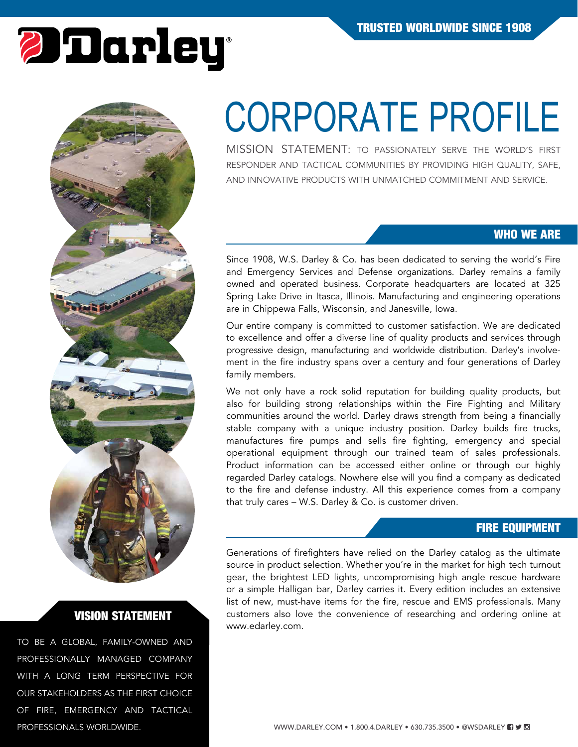# *Darley*



## VISION STATEMENT

TO BE A GLOBAL, FAMILY-OWNED AND PROFESSIONALLY MANAGED COMPANY WITH A LONG TERM PERSPECTIVE FOR OUR STAKEHOLDERS AS THE FIRST CHOICE OF FIRE, EMERGENCY AND TACTICAL PROFESSIONALS WORLDWIDE.

## CORPORATE PROFILE

MISSION STATEMENT: TO PASSIONATELY SERVE THE WORLD'S FIRST RESPONDER AND TACTICAL COMMUNITIES BY PROVIDING HIGH QUALITY, SAFE, AND INNOVATIVE PRODUCTS WITH UNMATCHED COMMITMENT AND SERVICE.

## WHO WE ARE

Since 1908, W.S. Darley & Co. has been dedicated to serving the world's Fire and Emergency Services and Defense organizations. Darley remains a family owned and operated business. Corporate headquarters are located at 325 Spring Lake Drive in Itasca, Illinois. Manufacturing and engineering operations are in Chippewa Falls, Wisconsin, and Janesville, Iowa.

Our entire company is committed to customer satisfaction. We are dedicated to excellence and offer a diverse line of quality products and services through progressive design, manufacturing and worldwide distribution. Darley's involvement in the fire industry spans over a century and four generations of Darley family members.

We not only have a rock solid reputation for building quality products, but also for building strong relationships within the Fire Fighting and Military communities around the world. Darley draws strength from being a financially stable company with a unique industry position. Darley builds fire trucks, manufactures fire pumps and sells fire fighting, emergency and special operational equipment through our trained team of sales professionals. Product information can be accessed either online or through our highly regarded Darley catalogs. Nowhere else will you find a company as dedicated to the fire and defense industry. All this experience comes from a company that truly cares – W.S. Darley & Co. is customer driven.

#### FIRE EQUIPMENT

Generations of firefighters have relied on the Darley catalog as the ultimate source in product selection. Whether you're in the market for high tech turnout gear, the brightest LED lights, uncompromising high angle rescue hardware or a simple Halligan bar, Darley carries it. Every edition includes an extensive list of new, must-have items for the fire, rescue and EMS professionals. Many customers also love the convenience of researching and ordering online at www.edarley.com.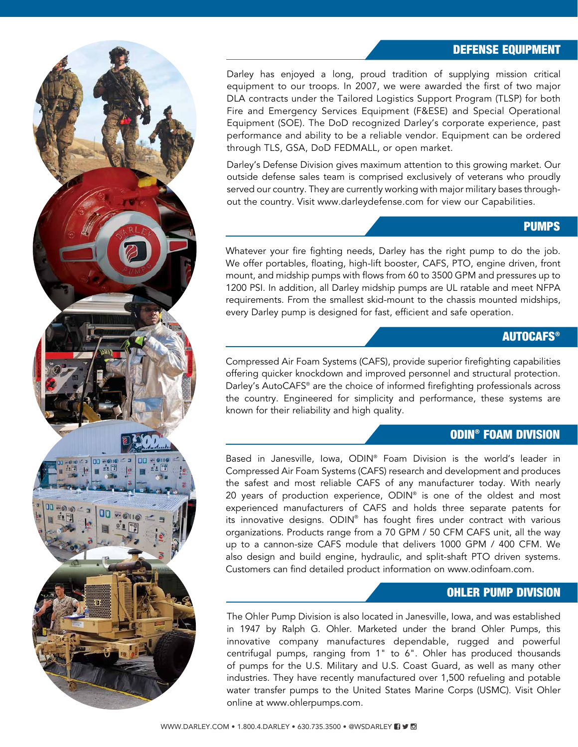## DEFENSE EQUIPMENT

Darley has enjoyed a long, proud tradition of supplying mission critical equipment to our troops. In 2007, we were awarded the first of two major DLA contracts under the Tailored Logistics Support Program (TLSP) for both Fire and Emergency Services Equipment (F&ESE) and Special Operational Equipment (SOE). The DoD recognized Darley's corporate experience, past performance and ability to be a reliable vendor. Equipment can be ordered through TLS, GSA, DoD FEDMALL, or open market.

Darley's Defense Division gives maximum attention to this growing market. Our outside defense sales team is comprised exclusively of veterans who proudly served our country. They are currently working with major military bases throughout the country. Visit www.darleydefense.com for view our Capabilities.

#### PUMPS

Whatever your fire fighting needs, Darley has the right pump to do the job. We offer portables, floating, high-lift booster, CAFS, PTO, engine driven, front mount, and midship pumps with flows from 60 to 3500 GPM and pressures up to 1200 PSI. In addition, all Darley midship pumps are UL ratable and meet NFPA requirements. From the smallest skid-mount to the chassis mounted midships, every Darley pump is designed for fast, efficient and safe operation.

#### **AUTOCAFS®**

Compressed Air Foam Systems (CAFS), provide superior firefighting capabilities offering quicker knockdown and improved personnel and structural protection. Darley's AutoCAFS® are the choice of informed firefighting professionals across the country. Engineered for simplicity and performance, these systems are known for their reliability and high quality.

#### ODIN® FOAM DIVISION

Based in Janesville, Iowa, ODIN® Foam Division is the world's leader in Compressed Air Foam Systems (CAFS) research and development and produces the safest and most reliable CAFS of any manufacturer today. With nearly 20 years of production experience, ODIN® is one of the oldest and most experienced manufacturers of CAFS and holds three separate patents for its innovative designs. ODIN® has fought fires under contract with various organizations. Products range from a 70 GPM / 50 CFM CAFS unit, all the way up to a cannon-size CAFS module that delivers 1000 GPM / 400 CFM. We also design and build engine, hydraulic, and split-shaft PTO driven systems. Customers can find detailed product information on www.odinfoam.com.

#### OHLER PUMP DIVISION

The Ohler Pump Division is also located in Janesville, Iowa, and was established in 1947 by Ralph G. Ohler. Marketed under the brand Ohler Pumps, this innovative company manufactures dependable, rugged and powerful centrifugal pumps, ranging from 1" to 6". Ohler has produced thousands of pumps for the U.S. Military and U.S. Coast Guard, as well as many other industries. They have recently manufactured over 1,500 refueling and potable water transfer pumps to the United States Marine Corps (USMC). Visit Ohler online at www.ohlerpumps.com.

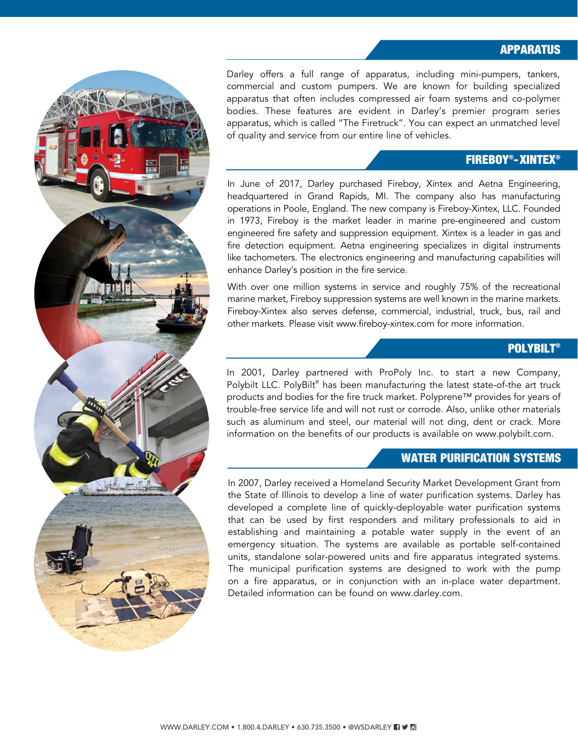#### APPARATUS

Darley offers a full range of apparatus, including mini-pumpers, tankers, commercial and custom pumpers. We are known for building specialized apparatus that often includes compressed air foam systems and co-polymer bodies. These features are evident in Darley's premier program series apparatus, which is called "The Firetruck". You can expect an unmatched level of quality and service from our entire line of vehicles.

#### FIREBOY®-XINTEX®

In June of 2017, Darley purchased Fireboy, Xintex and Aetna Engineering, headquartered in Grand Rapids, MI. The company also has manufacturing operations in Poole, England. The new company is Fireboy-Xintex, LLC. Founded in 1973, Fireboy is the market leader in marine pre-engineered and custom engineered fire safety and suppression equipment. Xintex is a leader in gas and fire detection equipment. Aetna engineering specializes in digital instruments like tachometers. The electronics engineering and manufacturing capabilities will enhance Darley's position in the fire service.

With over one million systems in service and roughly 75% of the recreational marine market, Fireboy suppression systems are well known in the marine markets. Fireboy-Xintex also serves defense, commercial, industrial, truck, bus, rail and other markets. Please visit www.fireboy-xintex.com for more information.

#### **POLYBILT®**

In 2001, Darley partnered with ProPoly Inc. to start a new Company, Polybilt LLC. PolyBilt® has been manufacturing the latest state-of-the art truck products and bodies for the fire truck market. Polyprene™ provides for years of trouble-free service life and will not rust or corrode. Also, unlike other materials such as aluminum and steel, our material will not ding, dent or crack. More information on the benefits of our products is available on www.polybilt.com.

#### WATER PURIFICATION SYSTEMS

In 2007, Darley received a Homeland Security Market Development Grant from the State of Illinois to develop a line of water purification systems. Darley has developed a complete line of quickly-deployable water purification systems that can be used by first responders and military professionals to aid in establishing and maintaining a potable water supply in the event of an emergency situation. The systems are available as portable self-contained units, standalone solar-powered units and fire apparatus integrated systems. The municipal purification systems are designed to work with the pump on a fire apparatus, or in conjunction with an in-place water department. Detailed information can be found on www.darley.com.